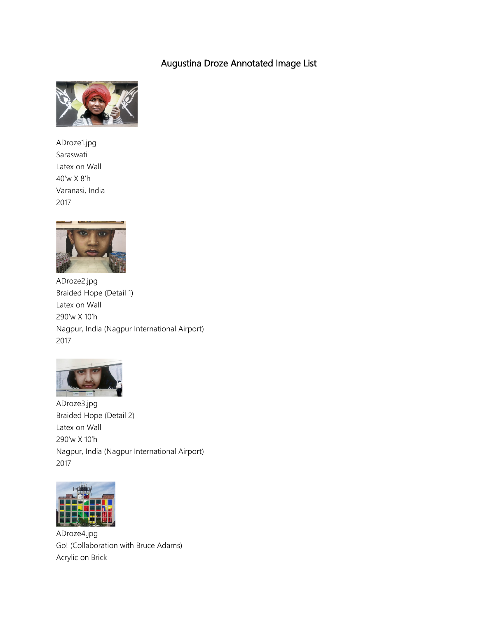## Augustina Droze Annotated Image List



ADroze1.jpg Saraswati Latex on Wall 40'w X 8'h Varanasi, India 2017



ADroze2.jpg Braided Hope (Detail 1) Latex on Wall 290'w X 10'h Nagpur, India (Nagpur International Airport) 2017



ADroze3.jpg Braided Hope (Detail 2) Latex on Wall 290'w X 10'h Nagpur, India (Nagpur International Airport) 2017



ADroze4.jpg Go! (Collaboration with Bruce Adams) Acrylic on Brick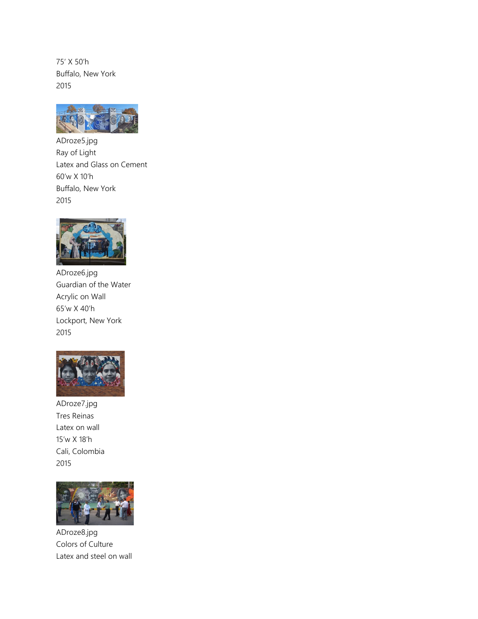75' X 50'h Buffalo, New York 2015



ADroze5.jpg Ray of Light Latex and Glass on Cement 60'w X 10'h Buffalo, New York 2015



ADroze6.jpg Guardian of the Water Acrylic on Wall 65'w X 40'h Lockport, New York 2015



ADroze7.jpg Tres Reinas Latex on wall 15'w X 18'h Cali, Colombia 2015



ADroze8.jpg Colors of Culture Latex and steel on wall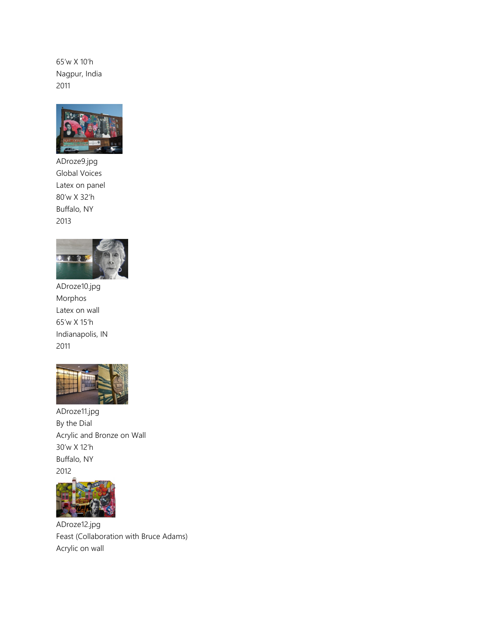65'w X 10'h Nagpur, India 2011



ADroze9.jpg Global Voices Latex on panel 80'w X 32'h Buffalo, NY 2013



ADroze10.jpg Morphos Latex on wall 65'w X 15'h Indianapolis, IN 2011



ADroze11.jpg By the Dial Acrylic and Bronze on Wall 30'w X 12'h Buffalo, NY 2012



ADroze12.jpg Feast (Collaboration with Bruce Adams) Acrylic on wall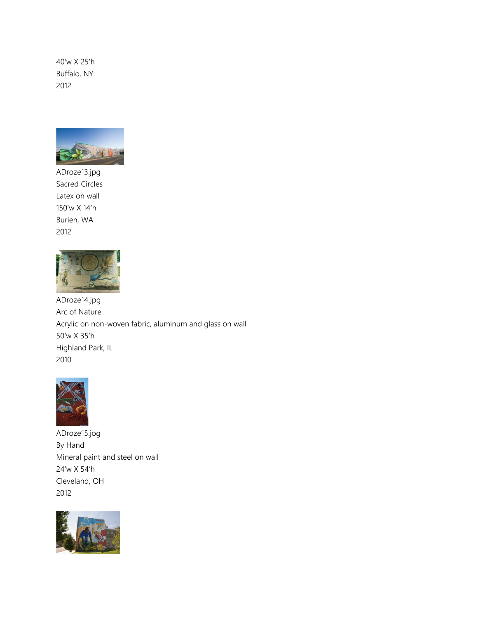40'w X 25'h Buffalo, NY 2012



ADroze13.jpg Sacred Circles Latex on wall 150'w X 14'h Burien, WA 2012



ADroze14.jpg Arc of Nature Acrylic on non-woven fabric, aluminum and glass on wall 50'w X 35'h Highland Park, IL 2010



ADroze15.jog By Hand Mineral paint and steel on wall 24'w X 54'h Cleveland, OH 2012